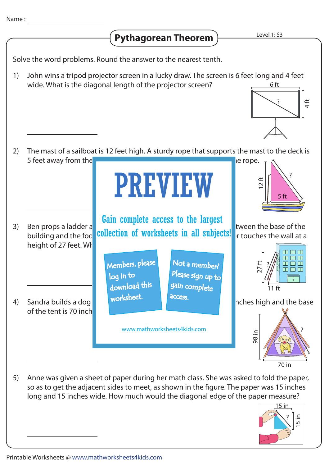## **Pythagorean Theorem**

Solve the word problems. Round the answer to the nearest tenth.

John wins a tripod projector screen in a lucky draw. The screen is 6 feet long and 4 feet wide. What is the diagonal length of the projector screen? 1) <u>6 ft</u>



The mast of a sailboat is 12 feet high. A sturdy rope that supports the mast to the deck is 5 feet away from the **base of the master of the master of the master.** Determine the rope. 2)



Anne was given a sheet of paper during her math class. She was asked to fold the paper, so as to get the adjacent sides to meet, as shown in the figure. The paper was 15 inches long and 15 inches wide. How much would the diagonal edge of the paper measure? 5)